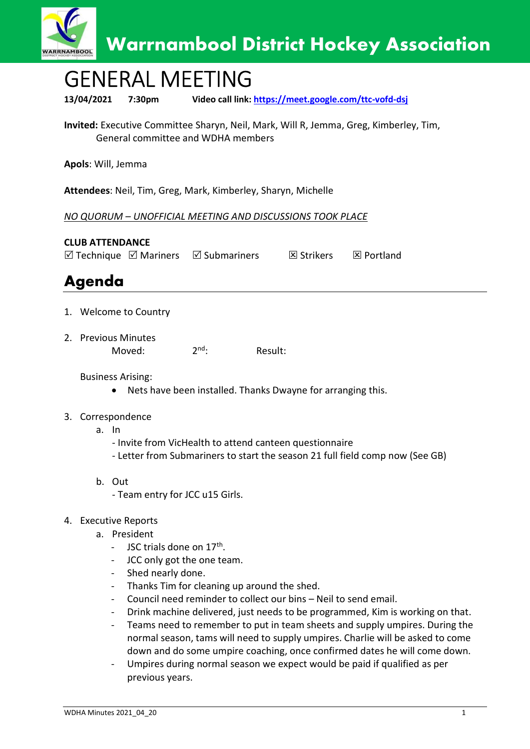

## GENERAL MEETING

13/04/2021 7:30pm Video call link: https://meet.google.com/ttc-vofd-dsj

Invited: Executive Committee Sharyn, Neil, Mark, Will R, Jemma, Greg, Kimberley, Tim, General committee and WDHA members

Apols: Will, Jemma

Attendees: Neil, Tim, Greg, Mark, Kimberley, Sharyn, Michelle

NO QUORUM – UNOFFICIAL MEETING AND DISCUSSIONS TOOK PLACE

CLUB ATTENDANCE  $\boxtimes$  Technique  $\boxtimes$  Mariners  $\boxtimes$  Submariners  $\boxtimes$  Strikers  $\boxtimes$  Portland

## Agenda

- 1. Welcome to Country
- 2. Previous Minutes

Moved: 2<sup>nd</sup>: Result:

Business Arising:

- Nets have been installed. Thanks Dwayne for arranging this.
- 3. Correspondence
	- a. In
		- Invite from VicHealth to attend canteen questionnaire
		- Letter from Submariners to start the season 21 full field comp now (See GB)
	- b. Out
		- Team entry for JCC u15 Girls.
- 4. Executive Reports
	- a. President
		- JSC trials done on 17<sup>th</sup>.
		- JCC only got the one team.
		- Shed nearly done.
		- Thanks Tim for cleaning up around the shed.
		- Council need reminder to collect our bins Neil to send email.
		- Drink machine delivered, just needs to be programmed, Kim is working on that.
		- Teams need to remember to put in team sheets and supply umpires. During the normal season, tams will need to supply umpires. Charlie will be asked to come down and do some umpire coaching, once confirmed dates he will come down.
		- Umpires during normal season we expect would be paid if qualified as per previous years.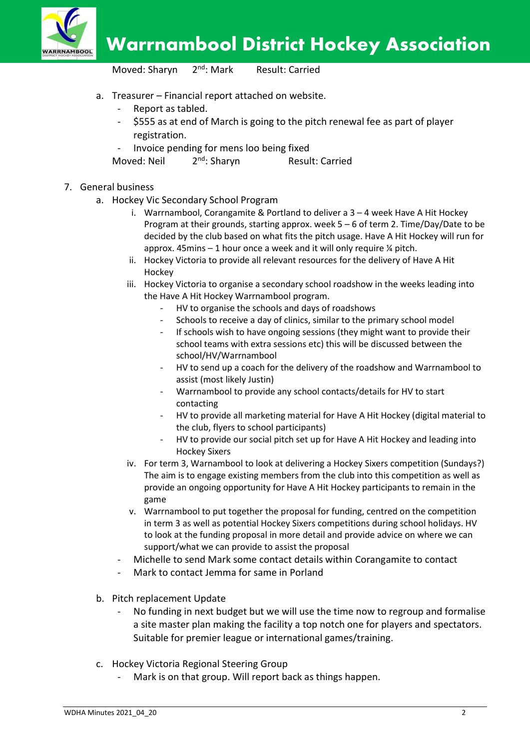

Warrnambool District Hockey Association

Moved: Sharyn 2<sup>nd</sup>: Mark Result: Carried

- a. Treasurer Financial report attached on website.
	- Report as tabled.
	- \$555 as at end of March is going to the pitch renewal fee as part of player registration.
	- Invoice pending for mens loo being fixed
	- Moved: Neil 2<sup>nd</sup>: Sharyn Result: Carried
- 7. General business
	- a. Hockey Vic Secondary School Program
		- i. Warrnambool, Corangamite & Portland to deliver a 3 4 week Have A Hit Hockey Program at their grounds, starting approx. week 5 – 6 of term 2. Time/Day/Date to be decided by the club based on what fits the pitch usage. Have A Hit Hockey will run for approx.  $45$ mins  $-1$  hour once a week and it will only require  $\frac{1}{4}$  pitch.
		- ii. Hockey Victoria to provide all relevant resources for the delivery of Have A Hit Hockey
		- iii. Hockey Victoria to organise a secondary school roadshow in the weeks leading into the Have A Hit Hockey Warrnambool program.
			- HV to organise the schools and days of roadshows
			- Schools to receive a day of clinics, similar to the primary school model
			- If schools wish to have ongoing sessions (they might want to provide their school teams with extra sessions etc) this will be discussed between the school/HV/Warrnambool
			- HV to send up a coach for the delivery of the roadshow and Warrnambool to assist (most likely Justin)
			- Warrnambool to provide any school contacts/details for HV to start contacting
			- HV to provide all marketing material for Have A Hit Hockey (digital material to the club, flyers to school participants)
			- HV to provide our social pitch set up for Have A Hit Hockey and leading into Hockey Sixers
		- iv. For term 3, Warnambool to look at delivering a Hockey Sixers competition (Sundays?) The aim is to engage existing members from the club into this competition as well as provide an ongoing opportunity for Have A Hit Hockey participants to remain in the game
		- v. Warrnambool to put together the proposal for funding, centred on the competition in term 3 as well as potential Hockey Sixers competitions during school holidays. HV to look at the funding proposal in more detail and provide advice on where we can support/what we can provide to assist the proposal
		- Michelle to send Mark some contact details within Corangamite to contact
		- Mark to contact Jemma for same in Porland
	- b. Pitch replacement Update
		- No funding in next budget but we will use the time now to regroup and formalise a site master plan making the facility a top notch one for players and spectators. Suitable for premier league or international games/training.
	- c. Hockey Victoria Regional Steering Group
		- Mark is on that group. Will report back as things happen.